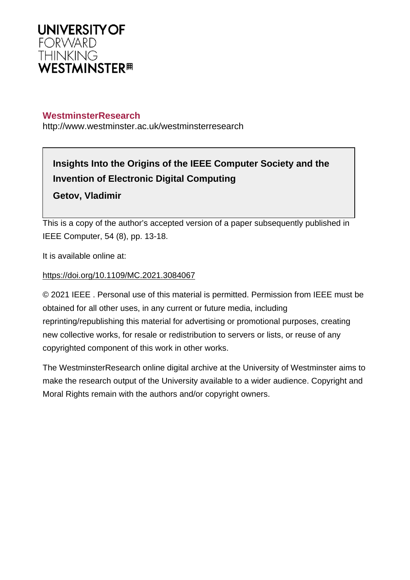

# **WestminsterResearch**

http://www.westminster.ac.uk/westminsterresearch

# **Insights Into the Origins of the IEEE Computer Society and the Invention of Electronic Digital Computing**

**Getov, Vladimir**

This is a copy of the author's accepted version of a paper subsequently published in IEEE Computer, 54 (8), pp. 13-18.

It is available online at:

# <https://doi.org/10.1109/MC.2021.3084067>

© 2021 IEEE . Personal use of this material is permitted. Permission from IEEE must be obtained for all other uses, in any current or future media, including reprinting/republishing this material for advertising or promotional purposes, creating new collective works, for resale or redistribution to servers or lists, or reuse of any copyrighted component of this work in other works.

The WestminsterResearch online digital archive at the University of Westminster aims to make the research output of the University available to a wider audience. Copyright and Moral Rights remain with the authors and/or copyright owners.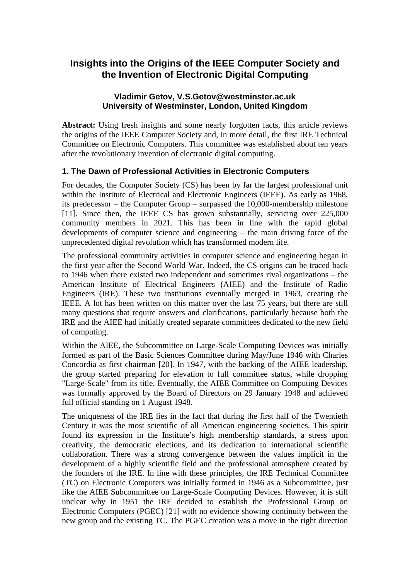# **Insights into the Origins of the IEEE Computer Society and the Invention of Electronic Digital Computing**

#### **Vladimir Getov, V.S.Getov@westminster.ac.uk University of Westminster, London, United Kingdom**

**Abstract:** Using fresh insights and some nearly forgotten facts, this article reviews the origins of the IEEE Computer Society and, in more detail, the first IRE Technical Committee on Electronic Computers. This committee was established about ten years after the revolutionary invention of electronic digital computing.

# **1. The Dawn of Professional Activities in Electronic Computers**

For decades, the Computer Society (CS) has been by far the largest professional unit within the Institute of Electrical and Electronic Engineers (IEEE). As early as 1968, its predecessor – the Computer Group – surpassed the 10,000-membership milestone [11]. Since then, the IEEE CS has grown substantially, servicing over 225,000 community members in 2021. This has been in line with the rapid global developments of computer science and engineering – the main driving force of the unprecedented digital revolution which has transformed modern life.

The professional community activities in computer science and engineering began in the first year after the Second World War. Indeed, the CS origins can be traced back to 1946 when there existed two independent and sometimes rival organizations – the American Institute of Electrical Engineers (AIEE) and the Institute of Radio Engineers (IRE). These two institutions eventually merged in 1963, creating the IEEE. A lot has been written on this matter over the last 75 years, but there are still many questions that require answers and clarifications, particularly because both the IRE and the AIEE had initially created separate committees dedicated to the new field of computing.

Within the AIEE, the Subcommittee on Large-Scale Computing Devices was initially formed as part of the Basic Sciences Committee during May/June 1946 with Charles Concordia as first chairman [20]. In 1947, with the backing of the AIEE leadership, the group started preparing for elevation to full committee status, while dropping "Large-Scale" from its title. Eventually, the AIEE Committee on Computing Devices was formally approved by the Board of Directors on 29 January 1948 and achieved full official standing on 1 August 1948.

The uniqueness of the IRE lies in the fact that during the first half of the Twentieth Century it was the most scientific of all American engineering societies. This spirit found its expression in the Institute's high membership standards, a stress upon creativity, the democratic elections, and its dedication to international scientific collaboration. There was a strong convergence between the values implicit in the development of a highly scientific field and the professional atmosphere created by the founders of the IRE. In line with these principles, the IRE Technical Committee (TC) on Electronic Computers was initially formed in 1946 as a Subcommittee, just like the AIEE Subcommittee on Large-Scale Computing Devices. However, it is still unclear why in 1951 the IRE decided to establish the Professional Group on Electronic Computers (PGEC) [21] with no evidence showing continuity between the new group and the existing TC. The PGEC creation was a move in the right direction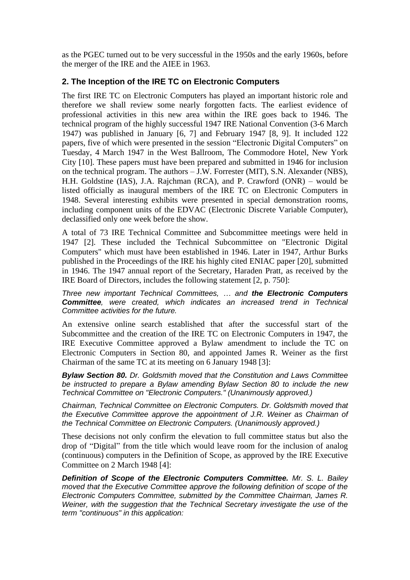as the PGEC turned out to be very successful in the 1950s and the early 1960s, before the merger of the IRE and the AIEE in 1963.

#### **2. The Inception of the IRE TC on Electronic Computers**

The first IRE TC on Electronic Computers has played an important historic role and therefore we shall review some nearly forgotten facts. The earliest evidence of professional activities in this new area within the IRE goes back to 1946. The technical program of the highly successful 1947 IRE National Convention (3-6 March 1947) was published in January [6, 7] and February 1947 [8, 9]. It included 122 papers, five of which were presented in the session "Electronic Digital Computers" on Tuesday, 4 March 1947 in the West Ballroom, The Commodore Hotel, New York City [10]. These papers must have been prepared and submitted in 1946 for inclusion on the technical program. The authors – J.W. Forrester (MIT), S.N. Alexander (NBS), H.H. Goldstine (IAS), J.A. Rajchman (RCA), and P. Crawford (ONR) – would be listed officially as inaugural members of the IRE TC on Electronic Computers in 1948. Several interesting exhibits were presented in special demonstration rooms, including component units of the EDVAC (Electronic Discrete Variable Computer), declassified only one week before the show.

A total of 73 IRE Technical Committee and Subcommittee meetings were held in 1947 [2]. These included the Technical Subcommittee on "Electronic Digital Computers" which must have been established in 1946. Later in 1947, Arthur Burks published in the Proceedings of the IRE his highly cited ENIAC paper [20], submitted in 1946. The 1947 annual report of the Secretary, Haraden Pratt, as received by the IRE Board of Directors, includes the following statement [2, p. 750]:

*Three new important Technical Committees, … and the Electronic Computers Committee, were created, which indicates an increased trend in Technical Committee activities for the future.*

An extensive online search established that after the successful start of the Subcommittee and the creation of the IRE TC on Electronic Computers in 1947, the IRE Executive Committee approved a Bylaw amendment to include the TC on Electronic Computers in Section 80, and appointed James R. Weiner as the first Chairman of the same TC at its meeting on 6 January 1948 [3]:

*Bylaw Section 80. Dr. Goldsmith moved that the Constitution and Laws Committee be instructed to prepare a Bylaw amending Bylaw Section 80 to include the new Technical Committee on "Electronic Computers." (Unanimously approved.)*

*Chairman, Technical Committee on Electronic Computers. Dr. Goldsmith moved that the Executive Committee approve the appointment of J.R. Weiner as Chairman of the Technical Committee on Electronic Computers. (Unanimously approved.)*

These decisions not only confirm the elevation to full committee status but also the drop of "Digital" from the title which would leave room for the inclusion of analog (continuous) computers in the Definition of Scope, as approved by the IRE Executive Committee on 2 March 1948 [4]:

*Definition of Scope of the Electronic Computers Committee. Mr. S. L. Bailey moved that the Executive Committee approve the following definition of scope of the Electronic Computers Committee, submitted by the Committee Chairman, James R. Weiner, with the suggestion that the Technical Secretary investigate the use of the term "continuous" in this application:*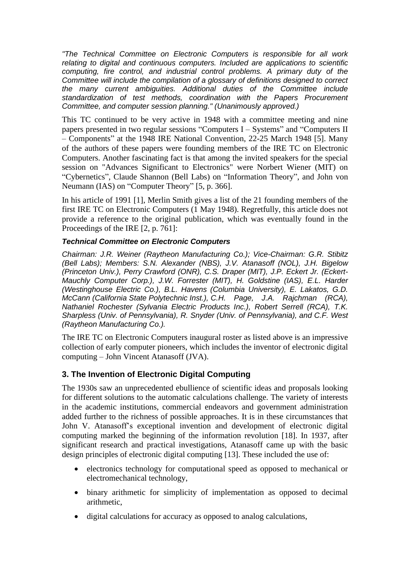*"The Technical Committee on Electronic Computers is responsible for all work relating to digital and continuous computers. Included are applications to scientific computing, fire control, and industrial control problems. A primary duty of the Committee will include the compilation of a glossary of definitions designed to correct the many current ambiguities. Additional duties of the Committee include standardization of test methods, coordination with the Papers Procurement Committee, and computer session planning." (Unanimously approved.)*

This TC continued to be very active in 1948 with a committee meeting and nine papers presented in two regular sessions "Computers I – Systems" and "Computers II – Components" at the 1948 IRE National Convention, 22-25 March 1948 [5]. Many of the authors of these papers were founding members of the IRE TC on Electronic Computers. Another fascinating fact is that among the invited speakers for the special session on "Advances Significant to Electronics" were Norbert Wiener (MIT) on "Cybernetics", Claude Shannon (Bell Labs) on "Information Theory", and John von Neumann (IAS) on "Computer Theory" [5, p. 366].

In his article of 1991 [1], Merlin Smith gives a list of the 21 founding members of the first IRE TC on Electronic Computers (1 May 1948). Regretfully, this article does not provide a reference to the original publication, which was eventually found in the Proceedings of the IRE [2, p. 761]:

#### *Technical Committee on Electronic Computers*

*Chairman: J.R. Weiner (Raytheon Manufacturing Co.); Vice-Chairman: G.R. Stibitz (Bell Labs); Members: S.N. Alexander (NBS), J.V. Atanasoff (NOL), J.H. Bigelow (Princeton Univ.), Perry Crawford (ONR), C.S. Draper (MIT), J.P. Eckert Jr. (Eckert-Mauchly Computer Corp.), J.W. Forrester (MIT), H. Goldstine (IAS), E.L. Harder (Westinghouse Electric Co.), B.L. Havens (Columbia University), E. Lakatos, G.D. McCann (California State Polytechnic Inst.), C.H. Page, J.A. Rajchman (RCA), Nathaniel Rochester (Sylvania Electric Products Inc.), Robert Serrell (RCA), T.K. Sharpless (Univ. of Pennsylvania), R. Snyder (Univ. of Pennsylvania), and C.F. West (Raytheon Manufacturing Co.).*

The IRE TC on Electronic Computers inaugural roster as listed above is an impressive collection of early computer pioneers, which includes the inventor of electronic digital computing – John Vincent Atanasoff (JVA).

#### **3. The Invention of Electronic Digital Computing**

The 1930s saw an unprecedented ebullience of scientific ideas and proposals looking for different solutions to the automatic calculations challenge. The variety of interests in the academic institutions, commercial endeavors and government administration added further to the richness of possible approaches. It is in these circumstances that John V. Atanasoff's exceptional invention and development of electronic digital computing marked the beginning of the information revolution [18]. In 1937, after significant research and practical investigations, Atanasoff came up with the basic design principles of electronic digital computing [13]. These included the use of:

- electronics technology for computational speed as opposed to mechanical or electromechanical technology,
- binary arithmetic for simplicity of implementation as opposed to decimal arithmetic,
- digital calculations for accuracy as opposed to analog calculations,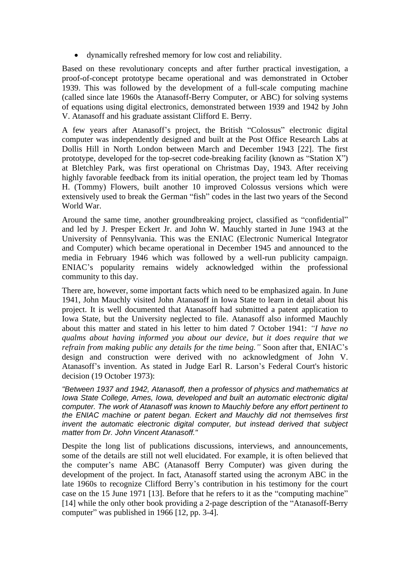• dynamically refreshed memory for low cost and reliability.

Based on these revolutionary concepts and after further practical investigation, a proof-of-concept prototype became operational and was demonstrated in October 1939. This was followed by the development of a full-scale computing machine (called since late 1960s the Atanasoff-Berry Computer, or ABC) for solving systems of equations using digital electronics, demonstrated between 1939 and 1942 by John V. Atanasoff and his graduate assistant Clifford E. Berry.

A few years after Atanasoff's project, the British "Colossus" electronic digital computer was independently designed and built at the Post Office Research Labs at Dollis Hill in North London between March and December 1943 [22]. The first prototype, developed for the top-secret code-breaking facility (known as "Station X") at Bletchley Park, was first operational on Christmas Day, 1943. After receiving highly favorable feedback from its initial operation, the project team led by Thomas H. (Tommy) Flowers, built another 10 improved Colossus versions which were extensively used to break the German "fish" codes in the last two years of the Second World War.

Around the same time, another groundbreaking project, classified as "confidential" and led by J. Presper Eckert Jr. and John W. Mauchly started in June 1943 at the University of Pennsylvania. This was the ENIAC (Electronic Numerical Integrator and Computer) which became operational in December 1945 and announced to the media in February 1946 which was followed by a well-run publicity campaign. ENIAC's popularity remains widely acknowledged within the professional community to this day.

There are, however, some important facts which need to be emphasized again. In June 1941, John Mauchly visited John Atanasoff in Iowa State to learn in detail about his project. It is well documented that Atanasoff had submitted a patent application to Iowa State, but the University neglected to file. Atanasoff also informed Mauchly about this matter and stated in his letter to him dated 7 October 1941: *"I have no qualms about having informed you about our device, but it does require that we refrain from making public any details for the time being."* Soon after that, ENIAC's design and construction were derived with no acknowledgment of John V. Atanasoff's invention. As stated in Judge Earl R. Larson's Federal Court's historic decision (19 October 1973):

*"Between 1937 and 1942, Atanasoff, then a professor of physics and mathematics at Iowa State College, Ames, Iowa, developed and built an automatic electronic digital computer. The work of Atanasoff was known to Mauchly before any effort pertinent to the ENIAC machine or patent began. Eckert and Mauchly did not themselves first invent the automatic electronic digital computer, but instead derived that subject matter from Dr. John Vincent Atanasoff."*

Despite the long list of publications discussions, interviews, and announcements, some of the details are still not well elucidated. For example, it is often believed that the computer's name ABC (Atanasoff Berry Computer) was given during the development of the project. In fact, Atanasoff started using the acronym ABC in the late 1960s to recognize Clifford Berry's contribution in his testimony for the court case on the 15 June 1971 [13]. Before that he refers to it as the "computing machine" [14] while the only other book providing a 2-page description of the "Atanasoff-Berry computer" was published in 1966 [12, pp. 3-4].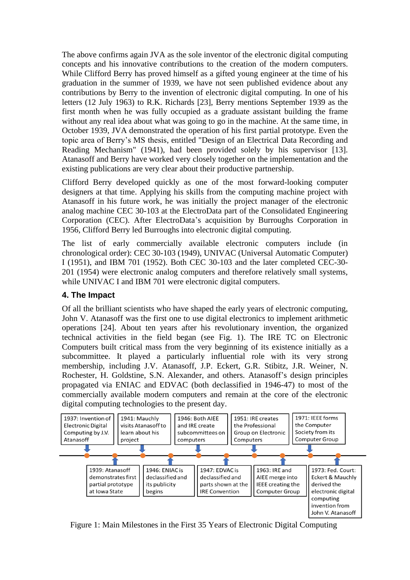The above confirms again JVA as the sole inventor of the electronic digital computing concepts and his innovative contributions to the creation of the modern computers. While Clifford Berry has proved himself as a gifted young engineer at the time of his graduation in the summer of 1939, we have not seen published evidence about any contributions by Berry to the invention of electronic digital computing. In one of his letters (12 July 1963) to R.K. Richards [23], Berry mentions September 1939 as the first month when he was fully occupied as a graduate assistant building the frame without any real idea about what was going to go in the machine. At the same time, in October 1939, JVA demonstrated the operation of his first partial prototype. Even the topic area of Berry's MS thesis, entitled "Design of an Electrical Data Recording and Reading Mechanism" (1941), had been provided solely by his supervisor [13]. Atanasoff and Berry have worked very closely together on the implementation and the existing publications are very clear about their productive partnership.

Clifford Berry developed quickly as one of the most forward-looking computer designers at that time. Applying his skills from the computing machine project with Atanasoff in his future work, he was initially the project manager of the electronic analog machine CEC 30-103 at the ElectroData part of the Consolidated Engineering Corporation (CEC). After ElectroData's acquisition by Burroughs Corporation in 1956, Clifford Berry led Burroughs into electronic digital computing.

The list of early commercially available electronic computers include (in chronological order): CEC 30-103 (1949), UNIVAC (Universal Automatic Computer) I (1951), and IBM 701 (1952). Both CEC 30-103 and the later completed CEC-30- 201 (1954) were electronic analog computers and therefore relatively small systems, while UNIVAC I and IBM 701 were electronic digital computers.

#### **4. The Impact**

Of all the brilliant scientists who have shaped the early years of electronic computing, John V. Atanasoff was the first one to use digital electronics to implement arithmetic operations [24]. About ten years after his revolutionary invention, the organized technical activities in the field began (see Fig. 1). The IRE TC on Electronic Computers built critical mass from the very beginning of its existence initially as a subcommittee. It played a particularly influential role with its very strong membership, including J.V. Atanasoff, J.P. Eckert, G.R. Stibitz, J.R. Weiner, N. Rochester, H. Goldstine, S.N. Alexander, and others. Atanasoff's design principles propagated via ENIAC and EDVAC (both declassified in 1946-47) to most of the commercially available modern computers and remain at the core of the electronic digital computing technologies to the present day.



Figure 1: Main Milestones in the First 35 Years of Electronic Digital Computing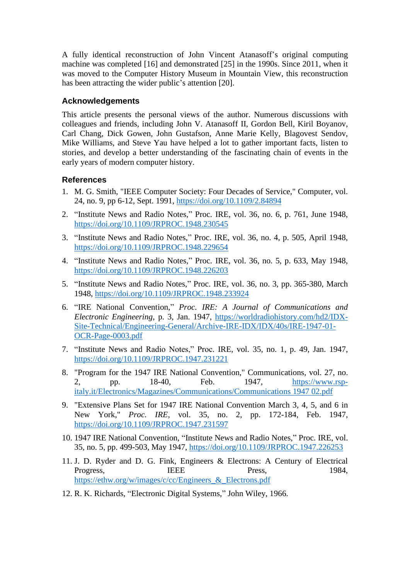A fully identical reconstruction of John Vincent Atanasoff's original computing machine was completed [16] and demonstrated [25] in the 1990s. Since 2011, when it was moved to the Computer History Museum in Mountain View, this reconstruction has been attracting the wider public's attention [20].

### **Acknowledgements**

This article presents the personal views of the author. Numerous discussions with colleagues and friends, including John V. Atanasoff II, Gordon Bell, Kiril Boyanov, Carl Chang, Dick Gowen, John Gustafson, Anne Marie Kelly, Blagovest Sendov, Mike Williams, and Steve Yau have helped a lot to gather important facts, listen to stories, and develop a better understanding of the fascinating chain of events in the early years of modern computer history.

# **References**

- 1. M. G. Smith, "IEEE Computer Society: Four Decades of Service," Computer, vol. 24, no. 9, pp 6-12, Sept. 1991,<https://doi.org/10.1109/2.84894>
- 2. "Institute News and Radio Notes," Proc. IRE, vol. 36, no. 6, p. 761, June 1948, <https://doi.org/10.1109/JRPROC.1948.230545>
- 3. "Institute News and Radio Notes," Proc. IRE, vol. 36, no. 4, p. 505, April 1948, <https://doi.org/10.1109/JRPROC.1948.229654>
- 4. "Institute News and Radio Notes," Proc. IRE, vol. 36, no. 5, p. 633, May 1948, <https://doi.org/10.1109/JRPROC.1948.226203>
- 5. "Institute News and Radio Notes," Proc. IRE, vol. 36, no. 3, pp. 365-380, March 1948,<https://doi.org/10.1109/JRPROC.1948.233924>
- 6. "IRE National Convention," *Proc. IRE: A Journal of Communications and Electronic Engineering*, p. 3, Jan. 1947, [https://worldradiohistory.com/hd2/IDX-](https://worldradiohistory.com/hd2/IDX-Site-Technical/Engineering-General/Archive-IRE-IDX/IDX/40s/IRE-1947-01-OCR-Page-0003.pdf)[Site-Technical/Engineering-General/Archive-IRE-IDX/IDX/40s/IRE-1947-01-](https://worldradiohistory.com/hd2/IDX-Site-Technical/Engineering-General/Archive-IRE-IDX/IDX/40s/IRE-1947-01-OCR-Page-0003.pdf) [OCR-Page-0003.pdf](https://worldradiohistory.com/hd2/IDX-Site-Technical/Engineering-General/Archive-IRE-IDX/IDX/40s/IRE-1947-01-OCR-Page-0003.pdf)
- 7. "Institute News and Radio Notes," Proc. IRE, vol. 35, no. 1, p. 49, Jan. 1947, <https://doi.org/10.1109/JRPROC.1947.231221>
- 8. "Program for the 1947 IRE National Convention," Communications, vol. 27, no. 2, pp. 18-40, Feb. 1947, [https://www.rsp](https://www.rsp-italy.it/Electronics/Magazines/Communications/Communications%201947%2002.pdf)[italy.it/Electronics/Magazines/Communications/Communications 1947 02.pdf](https://www.rsp-italy.it/Electronics/Magazines/Communications/Communications%201947%2002.pdf)
- 9. "Extensive Plans Set for 1947 IRE National Convention March 3, 4, 5, and 6 in New York," *Proc. IRE*, vol. 35, no. 2, pp. 172-184, Feb. 1947, <https://doi.org/10.1109/JRPROC.1947.231597>
- 10. 1947 IRE National Convention, "Institute News and Radio Notes," Proc. IRE, vol. 35, no. 5, pp. 499-503, May 1947,<https://doi.org/10.1109/JRPROC.1947.226253>
- 11. J. D. Ryder and D. G. Fink, Engineers & Electrons: A Century of Electrical Progress, IEEE Press, 1984, [https://ethw.org/w/images/c/cc/Engineers\\_&\\_Electrons.pdf](https://ethw.org/w/images/c/cc/Engineers_&_Electrons.pdf)
- 12. R. K. Richards, "Electronic Digital Systems," John Wiley, 1966.